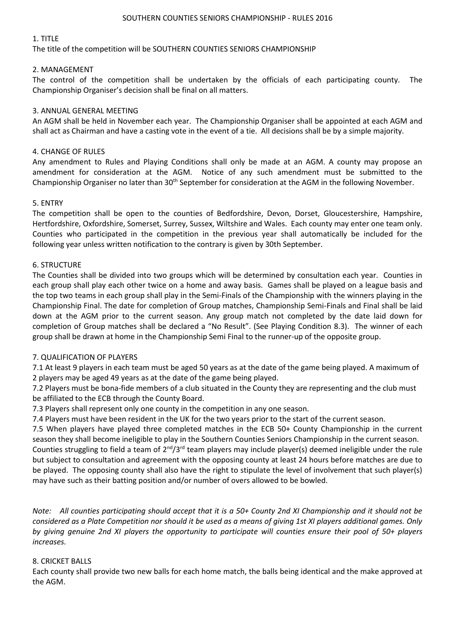# 1. TITLE

The title of the competition will be SOUTHERN COUNTIES SENIORS CHAMPIONSHIP

# 2. MANAGEMENT

The control of the competition shall be undertaken by the officials of each participating county. The Championship Organiser's decision shall be final on all matters.

# 3. ANNUAL GENERAL MEETING

An AGM shall be held in November each year. The Championship Organiser shall be appointed at each AGM and shall act as Chairman and have a casting vote in the event of a tie. All decisions shall be by a simple majority.

# 4. CHANGE OF RULES

Any amendment to Rules and Playing Conditions shall only be made at an AGM. A county may propose an amendment for consideration at the AGM. Notice of any such amendment must be submitted to the Championship Organiser no later than 30<sup>th</sup> September for consideration at the AGM in the following November.

# 5. ENTRY

The competition shall be open to the counties of Bedfordshire, Devon, Dorset, Gloucestershire, Hampshire, Hertfordshire, Oxfordshire, Somerset, Surrey, Sussex, Wiltshire and Wales. Each county may enter one team only. Counties who participated in the competition in the previous year shall automatically be included for the following year unless written notification to the contrary is given by 30th September.

#### 6. STRUCTURE

The Counties shall be divided into two groups which will be determined by consultation each year. Counties in each group shall play each other twice on a home and away basis. Games shall be played on a league basis and the top two teams in each group shall play in the Semi-Finals of the Championship with the winners playing in the Championship Final. The date for completion of Group matches, Championship Semi-Finals and Final shall be laid down at the AGM prior to the current season. Any group match not completed by the date laid down for completion of Group matches shall be declared a "No Result". (See Playing Condition 8.3). The winner of each group shall be drawn at home in the Championship Semi Final to the runner-up of the opposite group.

#### 7. QUALIFICATION OF PLAYERS

7.1 At least 9 players in each team must be aged 50 years as at the date of the game being played. A maximum of 2 players may be aged 49 years as at the date of the game being played.

7.2 Players must be bona-fide members of a club situated in the County they are representing and the club must be affiliated to the ECB through the County Board.

7.3 Players shall represent only one county in the competition in any one season.

7.4 Players must have been resident in the UK for the two years prior to the start of the current season.

7.5 When players have played three completed matches in the ECB 50+ County Championship in the current season they shall become ineligible to play in the Southern Counties Seniors Championship in the current season. Counties struggling to field a team of  $2^{nd}/3^{rd}$  team players may include player(s) deemed ineligible under the rule but subject to consultation and agreement with the opposing county at least 24 hours before matches are due to be played. The opposing county shall also have the right to stipulate the level of involvement that such player(s) may have such as their batting position and/or number of overs allowed to be bowled.

*Note: All counties participating should accept that it is a 50+ County 2nd XI Championship and it should not be considered as a Plate Competition nor should it be used as a means of giving 1st XI players additional games. Only by giving genuine 2nd XI players the opportunity to participate will counties ensure their pool of 50+ players increases.*

#### 8. CRICKET BALLS

Each county shall provide two new balls for each home match, the balls being identical and the make approved at the AGM.